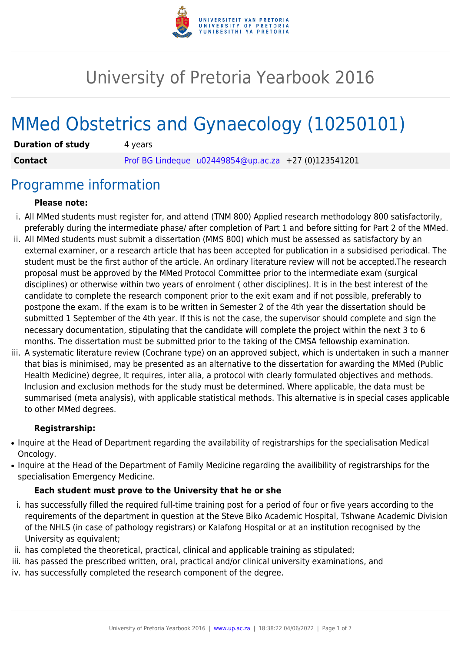

# University of Pretoria Yearbook 2016

# MMed Obstetrics and Gynaecology (10250101)

| <b>Duration of study</b> | 4 years                                                |  |
|--------------------------|--------------------------------------------------------|--|
| <b>Contact</b>           | Prof BG Lindeque $u02449854@up.ac.za$ +27 (0)123541201 |  |

### Programme information

#### **Please note:**

- i. All MMed students must register for, and attend (TNM 800) Applied research methodology 800 satisfactorily, preferably during the intermediate phase/ after completion of Part 1 and before sitting for Part 2 of the MMed.
- ii. All MMed students must submit a dissertation (MMS 800) which must be assessed as satisfactory by an external examiner, or a research article that has been accepted for publication in a subsidised periodical. The student must be the first author of the article. An ordinary literature review will not be accepted.The research proposal must be approved by the MMed Protocol Committee prior to the intermediate exam (surgical disciplines) or otherwise within two years of enrolment ( other disciplines). It is in the best interest of the candidate to complete the research component prior to the exit exam and if not possible, preferably to postpone the exam. If the exam is to be written in Semester 2 of the 4th year the dissertation should be submitted 1 September of the 4th year. If this is not the case, the supervisor should complete and sign the necessary documentation, stipulating that the candidate will complete the project within the next 3 to 6 months. The dissertation must be submitted prior to the taking of the CMSA fellowship examination.
- iii. A systematic literature review (Cochrane type) on an approved subject, which is undertaken in such a manner that bias is minimised, may be presented as an alternative to the dissertation for awarding the MMed (Public Health Medicine) degree, It requires, inter alia, a protocol with clearly formulated objectives and methods. Inclusion and exclusion methods for the study must be determined. Where applicable, the data must be summarised (meta analysis), with applicable statistical methods. This alternative is in special cases applicable to other MMed degrees.

#### **Registrarship:**

- Inquire at the Head of Department regarding the availability of registrarships for the specialisation Medical Oncology.
- Inquire at the Head of the Department of Family Medicine regarding the availibility of registrarships for the specialisation Emergency Medicine.

#### **Each student must prove to the University that he or she**

- i. has successfully filled the required full-time training post for a period of four or five years according to the requirements of the department in question at the Steve Biko Academic Hospital, Tshwane Academic Division of the NHLS (in case of pathology registrars) or Kalafong Hospital or at an institution recognised by the University as equivalent;
- ii. has completed the theoretical, practical, clinical and applicable training as stipulated;
- iii. has passed the prescribed written, oral, practical and/or clinical university examinations, and
- iv. has successfully completed the research component of the degree.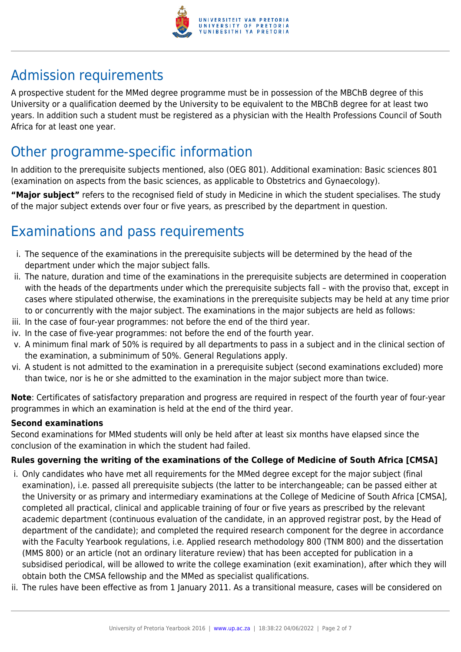

# Admission requirements

A prospective student for the MMed degree programme must be in possession of the MBChB degree of this University or a qualification deemed by the University to be equivalent to the MBChB degree for at least two years. In addition such a student must be registered as a physician with the Health Professions Council of South Africa for at least one year.

## Other programme-specific information

In addition to the prerequisite subjects mentioned, also (OEG 801). Additional examination: Basic sciences 801 (examination on aspects from the basic sciences, as applicable to Obstetrics and Gynaecology).

**"Major subject"** refers to the recognised field of study in Medicine in which the student specialises. The study of the major subject extends over four or five years, as prescribed by the department in question.

# Examinations and pass requirements

- i. The sequence of the examinations in the prerequisite subjects will be determined by the head of the department under which the major subject falls.
- ii. The nature, duration and time of the examinations in the prerequisite subjects are determined in cooperation with the heads of the departments under which the prerequisite subjects fall – with the proviso that, except in cases where stipulated otherwise, the examinations in the prerequisite subjects may be held at any time prior to or concurrently with the major subject. The examinations in the major subjects are held as follows:
- iii. In the case of four-year programmes: not before the end of the third year.
- iv. In the case of five-year programmes: not before the end of the fourth year.
- v. A minimum final mark of 50% is required by all departments to pass in a subject and in the clinical section of the examination, a subminimum of 50%. General Regulations apply.
- vi. A student is not admitted to the examination in a prerequisite subject (second examinations excluded) more than twice, nor is he or she admitted to the examination in the major subject more than twice.

**Note**: Certificates of satisfactory preparation and progress are required in respect of the fourth year of four-year programmes in which an examination is held at the end of the third year.

#### **Second examinations**

Second examinations for MMed students will only be held after at least six months have elapsed since the conclusion of the examination in which the student had failed.

### **Rules governing the writing of the examinations of the College of Medicine of South Africa [CMSA]**

- i. Only candidates who have met all requirements for the MMed degree except for the major subject (final examination), i.e. passed all prerequisite subjects (the latter to be interchangeable; can be passed either at the University or as primary and intermediary examinations at the College of Medicine of South Africa [CMSA], completed all practical, clinical and applicable training of four or five years as prescribed by the relevant academic department (continuous evaluation of the candidate, in an approved registrar post, by the Head of department of the candidate); and completed the required research component for the degree in accordance with the Faculty Yearbook regulations, i.e. Applied research methodology 800 (TNM 800) and the dissertation (MMS 800) or an article (not an ordinary literature review) that has been accepted for publication in a subsidised periodical, will be allowed to write the college examination (exit examination), after which they will obtain both the CMSA fellowship and the MMed as specialist qualifications.
- ii. The rules have been effective as from 1 January 2011. As a transitional measure, cases will be considered on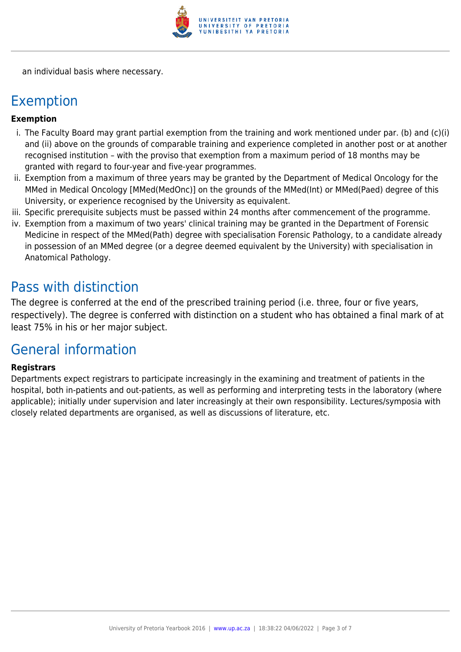

an individual basis where necessary.

### Exemption

#### **Exemption**

- i. The Faculty Board may grant partial exemption from the training and work mentioned under par. (b) and (c)(i) and (ii) above on the grounds of comparable training and experience completed in another post or at another recognised institution – with the proviso that exemption from a maximum period of 18 months may be granted with regard to four-year and five-year programmes.
- ii. Exemption from a maximum of three years may be granted by the Department of Medical Oncology for the MMed in Medical Oncology [MMed(MedOnc)] on the grounds of the MMed(Int) or MMed(Paed) degree of this University, or experience recognised by the University as equivalent.
- iii. Specific prerequisite subjects must be passed within 24 months after commencement of the programme.
- iv. Exemption from a maximum of two years' clinical training may be granted in the Department of Forensic Medicine in respect of the MMed(Path) degree with specialisation Forensic Pathology, to a candidate already in possession of an MMed degree (or a degree deemed equivalent by the University) with specialisation in Anatomical Pathology.

### Pass with distinction

The degree is conferred at the end of the prescribed training period (i.e. three, four or five years, respectively). The degree is conferred with distinction on a student who has obtained a final mark of at least 75% in his or her major subject.

## General information

#### **Registrars**

Departments expect registrars to participate increasingly in the examining and treatment of patients in the hospital, both in-patients and out-patients, as well as performing and interpreting tests in the laboratory (where applicable); initially under supervision and later increasingly at their own responsibility. Lectures/symposia with closely related departments are organised, as well as discussions of literature, etc.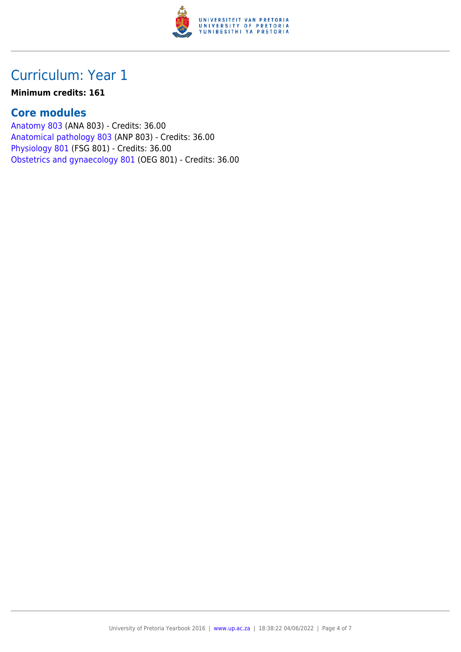

# Curriculum: Year 1

#### **Minimum credits: 161**

### **Core modules**

[Anatomy 803](https://www.up.ac.za/yearbooks/2016/modules/view/ANA 803) (ANA 803) - Credits: 36.00 [Anatomical pathology 803](https://www.up.ac.za/yearbooks/2016/modules/view/ANP 803) (ANP 803) - Credits: 36.00 [Physiology 801](https://www.up.ac.za/yearbooks/2016/modules/view/FSG 801) (FSG 801) - Credits: 36.00 [Obstetrics and gynaecology 801](https://www.up.ac.za/yearbooks/2016/modules/view/OEG 801) (OEG 801) - Credits: 36.00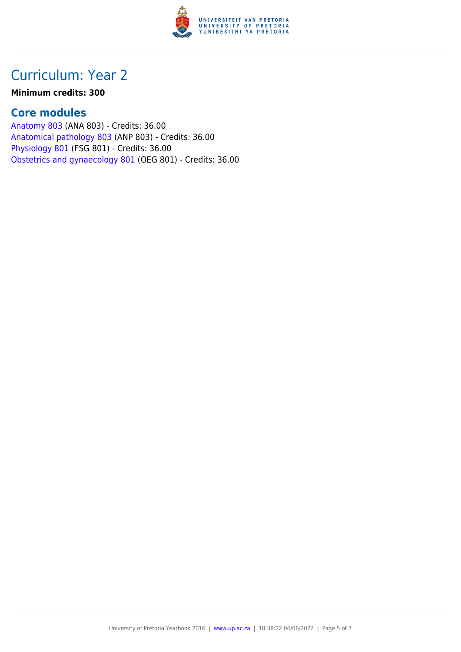

# Curriculum: Year 2

#### **Minimum credits: 300**

### **Core modules**

[Anatomy 803](https://www.up.ac.za/yearbooks/2016/modules/view/ANA 803) (ANA 803) - Credits: 36.00 [Anatomical pathology 803](https://www.up.ac.za/yearbooks/2016/modules/view/ANP 803) (ANP 803) - Credits: 36.00 [Physiology 801](https://www.up.ac.za/yearbooks/2016/modules/view/FSG 801) (FSG 801) - Credits: 36.00 [Obstetrics and gynaecology 801](https://www.up.ac.za/yearbooks/2016/modules/view/OEG 801) (OEG 801) - Credits: 36.00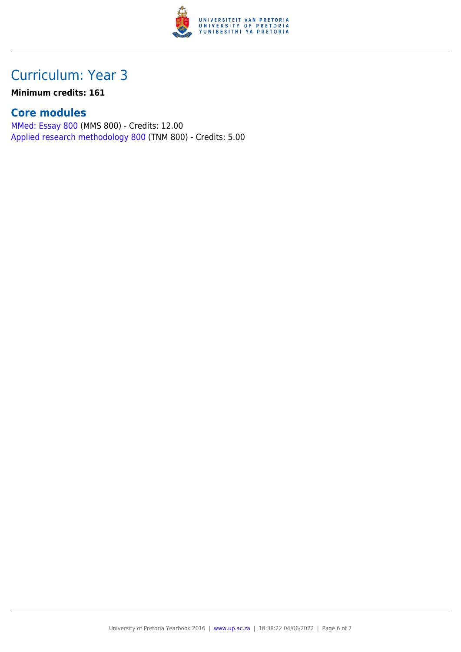

# Curriculum: Year 3

### **Minimum credits: 161**

### **Core modules**

[MMed: Essay 800](https://www.up.ac.za/yearbooks/2016/modules/view/MMS 800) (MMS 800) - Credits: 12.00 [Applied research methodology 800](https://www.up.ac.za/yearbooks/2016/modules/view/TNM 800) (TNM 800) - Credits: 5.00